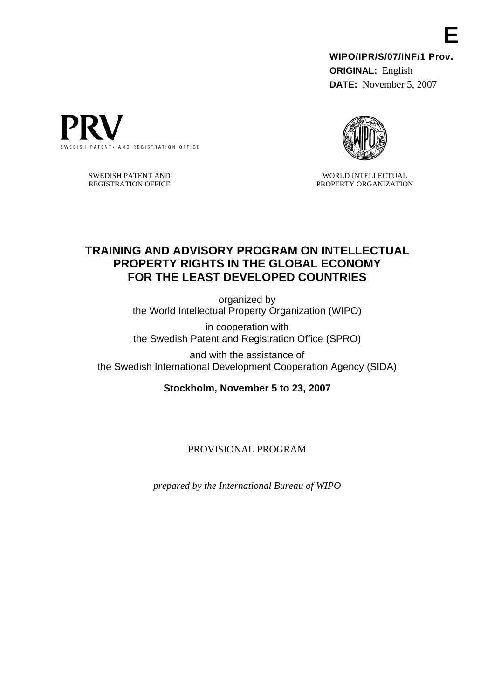**WIPO/IPR/S/07/INF/1 Prov. ORIGINAL:** English **DATE:** November 5, 2007



WORLD INTELLECTUAL PROPERTY ORGANIZATION

# **TRAINING AND ADVISORY PROGRAM ON INTELLECTUAL PROPERTY RIGHTS IN THE GLOBAL ECONOMY FOR THE LEAST DEVELOPED COUNTRIES**

organized by the World Intellectual Property Organization (WIPO)

in cooperation with the Swedish Patent and Registration Office (SPRO)

and with the assistance of the Swedish International Development Cooperation Agency (SIDA)

**Stockholm, November 5 to 23, 2007** 

PROVISIONAL PROGRAM

*prepared by the International Bureau of WIPO* 



SWEDISH PATENT AND REGISTRATION OFFICE **E**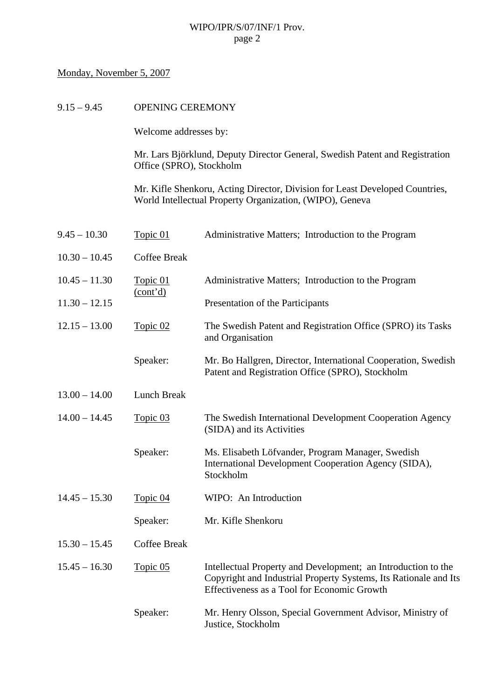#### Monday, November 5, 2007

Welcome addresses by:

Mr. Lars Björklund, Deputy Director General, Swedish Patent and Registration Office (SPRO), Stockholm

Mr. Kifle Shenkoru, Acting Director, Division for Least Developed Countries, World Intellectual Property Organization, (WIPO), Geneva

| $9.45 - 10.30$  | Topic 01             | Administrative Matters; Introduction to the Program                                                                                                                              |
|-----------------|----------------------|----------------------------------------------------------------------------------------------------------------------------------------------------------------------------------|
| $10.30 - 10.45$ | <b>Coffee Break</b>  |                                                                                                                                                                                  |
| $10.45 - 11.30$ | Topic 01<br>(cont'd) | Administrative Matters; Introduction to the Program                                                                                                                              |
| $11.30 - 12.15$ |                      | Presentation of the Participants                                                                                                                                                 |
| $12.15 - 13.00$ | Topic 02             | The Swedish Patent and Registration Office (SPRO) its Tasks<br>and Organisation                                                                                                  |
|                 | Speaker:             | Mr. Bo Hallgren, Director, International Cooperation, Swedish<br>Patent and Registration Office (SPRO), Stockholm                                                                |
| $13.00 - 14.00$ | Lunch Break          |                                                                                                                                                                                  |
| $14.00 - 14.45$ | Topic 03             | The Swedish International Development Cooperation Agency<br>(SIDA) and its Activities                                                                                            |
|                 | Speaker:             | Ms. Elisabeth Löfvander, Program Manager, Swedish<br>International Development Cooperation Agency (SIDA),<br>Stockholm                                                           |
| $14.45 - 15.30$ | Topic 04             | WIPO: An Introduction                                                                                                                                                            |
|                 | Speaker:             | Mr. Kifle Shenkoru                                                                                                                                                               |
| $15.30 - 15.45$ | <b>Coffee Break</b>  |                                                                                                                                                                                  |
| $15.45 - 16.30$ | Topic 05             | Intellectual Property and Development; an Introduction to the<br>Copyright and Industrial Property Systems, Its Rationale and Its<br>Effectiveness as a Tool for Economic Growth |
|                 | Speaker:             | Mr. Henry Olsson, Special Government Advisor, Ministry of<br>Justice, Stockholm                                                                                                  |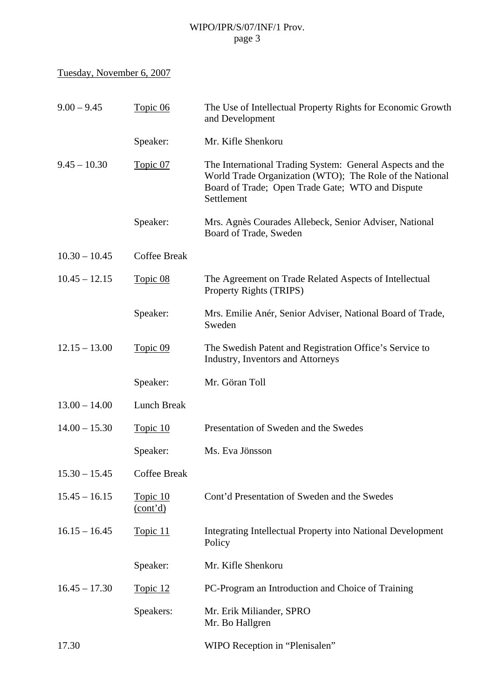# Tuesday, November 6, 2007

| $9.00 - 9.45$   | Topic 06             | The Use of Intellectual Property Rights for Economic Growth<br>and Development                                                                                                          |
|-----------------|----------------------|-----------------------------------------------------------------------------------------------------------------------------------------------------------------------------------------|
|                 | Speaker:             | Mr. Kifle Shenkoru                                                                                                                                                                      |
| $9.45 - 10.30$  | Topic 07             | The International Trading System: General Aspects and the<br>World Trade Organization (WTO); The Role of the National<br>Board of Trade; Open Trade Gate; WTO and Dispute<br>Settlement |
|                 | Speaker:             | Mrs. Agnès Courades Allebeck, Senior Adviser, National<br>Board of Trade, Sweden                                                                                                        |
| $10.30 - 10.45$ | <b>Coffee Break</b>  |                                                                                                                                                                                         |
| $10.45 - 12.15$ | Topic 08             | The Agreement on Trade Related Aspects of Intellectual<br>Property Rights (TRIPS)                                                                                                       |
|                 | Speaker:             | Mrs. Emilie Anér, Senior Adviser, National Board of Trade,<br>Sweden                                                                                                                    |
| $12.15 - 13.00$ | Topic 09             | The Swedish Patent and Registration Office's Service to<br>Industry, Inventors and Attorneys                                                                                            |
|                 | Speaker:             | Mr. Göran Toll                                                                                                                                                                          |
| $13.00 - 14.00$ | Lunch Break          |                                                                                                                                                                                         |
| $14.00 - 15.30$ | Topic 10             | Presentation of Sweden and the Swedes                                                                                                                                                   |
|                 | Speaker:             | Ms. Eva Jönsson                                                                                                                                                                         |
| $15.30 - 15.45$ | <b>Coffee Break</b>  |                                                                                                                                                                                         |
| $15.45 - 16.15$ | Topic 10<br>(cont'd) | Cont'd Presentation of Sweden and the Swedes                                                                                                                                            |
| $16.15 - 16.45$ | Topic 11             | Integrating Intellectual Property into National Development<br>Policy                                                                                                                   |
|                 | Speaker:             | Mr. Kifle Shenkoru                                                                                                                                                                      |
| $16.45 - 17.30$ | Topic 12             | PC-Program an Introduction and Choice of Training                                                                                                                                       |
|                 | Speakers:            | Mr. Erik Miliander, SPRO<br>Mr. Bo Hallgren                                                                                                                                             |
| 17.30           |                      | WIPO Reception in "Plenisalen"                                                                                                                                                          |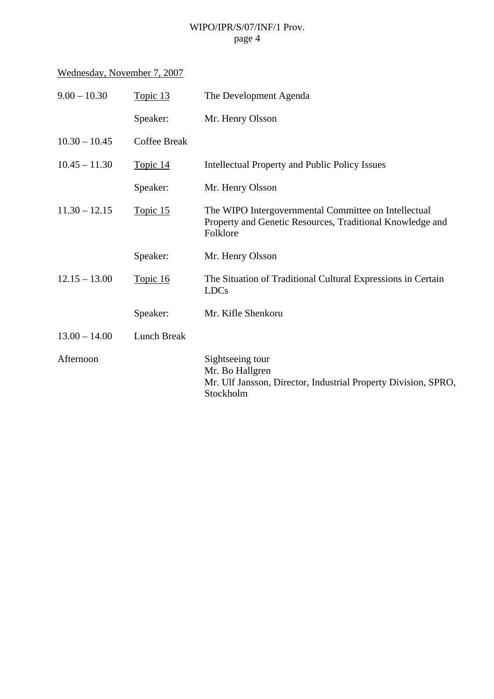# Wednesday, November 7, 2007

| Topic 13            | The Development Agenda                                                                                                        |
|---------------------|-------------------------------------------------------------------------------------------------------------------------------|
| Speaker:            | Mr. Henry Olsson                                                                                                              |
| <b>Coffee Break</b> |                                                                                                                               |
| Topic 14            | <b>Intellectual Property and Public Policy Issues</b>                                                                         |
| Speaker:            | Mr. Henry Olsson                                                                                                              |
| Topic 15            | The WIPO Intergovernmental Committee on Intellectual<br>Property and Genetic Resources, Traditional Knowledge and<br>Folklore |
| Speaker:            | Mr. Henry Olsson                                                                                                              |
| Topic 16            | The Situation of Traditional Cultural Expressions in Certain<br><b>LDCs</b>                                                   |
| Speaker:            | Mr. Kifle Shenkoru                                                                                                            |
| <b>Lunch Break</b>  |                                                                                                                               |
|                     | Sightseeing tour<br>Mr. Bo Hallgren<br>Mr. Ulf Jansson, Director, Industrial Property Division, SPRO,<br>Stockholm            |
|                     |                                                                                                                               |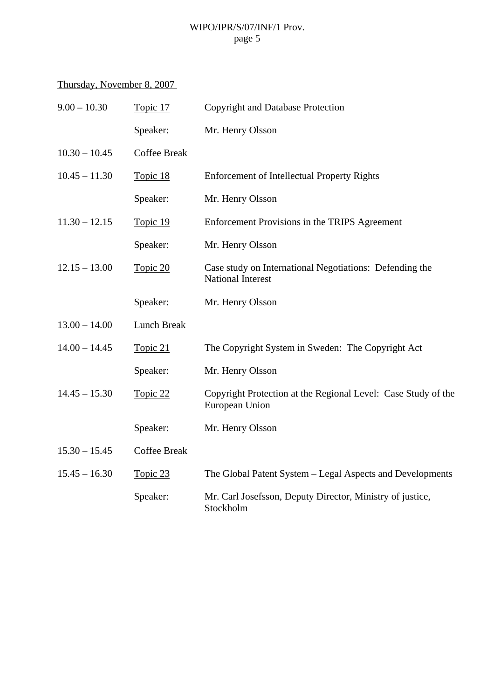# Thursday, November 8, 2007

| $9.00 - 10.30$  | Topic 17            | <b>Copyright and Database Protection</b>                                            |
|-----------------|---------------------|-------------------------------------------------------------------------------------|
|                 | Speaker:            | Mr. Henry Olsson                                                                    |
| $10.30 - 10.45$ | <b>Coffee Break</b> |                                                                                     |
| $10.45 - 11.30$ | Topic 18            | <b>Enforcement of Intellectual Property Rights</b>                                  |
|                 | Speaker:            | Mr. Henry Olsson                                                                    |
| $11.30 - 12.15$ | Topic 19            | Enforcement Provisions in the TRIPS Agreement                                       |
|                 | Speaker:            | Mr. Henry Olsson                                                                    |
| $12.15 - 13.00$ | Topic 20            | Case study on International Negotiations: Defending the<br><b>National Interest</b> |
|                 | Speaker:            | Mr. Henry Olsson                                                                    |
| $13.00 - 14.00$ | Lunch Break         |                                                                                     |
| $14.00 - 14.45$ | Topic 21            | The Copyright System in Sweden: The Copyright Act                                   |
|                 | Speaker:            | Mr. Henry Olsson                                                                    |
| $14.45 - 15.30$ | Topic 22            | Copyright Protection at the Regional Level: Case Study of the<br>European Union     |
|                 | Speaker:            | Mr. Henry Olsson                                                                    |
| $15.30 - 15.45$ | <b>Coffee Break</b> |                                                                                     |
| $15.45 - 16.30$ | Topic 23            | The Global Patent System - Legal Aspects and Developments                           |
|                 | Speaker:            | Mr. Carl Josefsson, Deputy Director, Ministry of justice,<br>Stockholm              |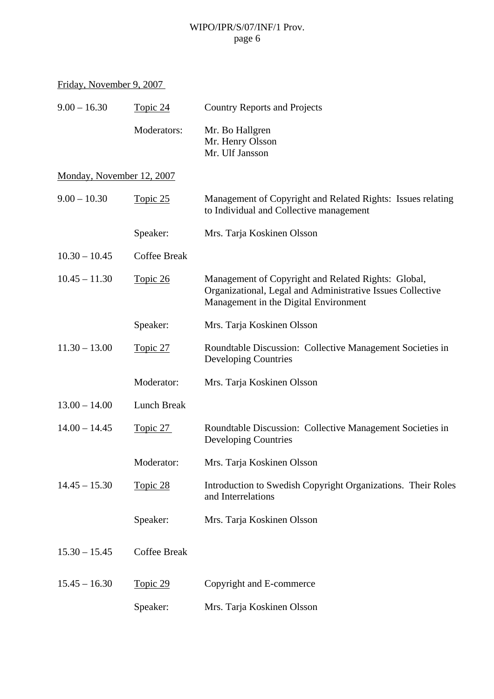Friday, November 9, 2007

| $9.00 - 16.30$            | Topic 24            | <b>Country Reports and Projects</b>                                                                                                                        |
|---------------------------|---------------------|------------------------------------------------------------------------------------------------------------------------------------------------------------|
|                           | Moderators:         | Mr. Bo Hallgren<br>Mr. Henry Olsson<br>Mr. Ulf Jansson                                                                                                     |
| Monday, November 12, 2007 |                     |                                                                                                                                                            |
| $9.00 - 10.30$            | Topic 25            | Management of Copyright and Related Rights: Issues relating<br>to Individual and Collective management                                                     |
|                           | Speaker:            | Mrs. Tarja Koskinen Olsson                                                                                                                                 |
| $10.30 - 10.45$           | <b>Coffee Break</b> |                                                                                                                                                            |
| $10.45 - 11.30$           | Topic 26            | Management of Copyright and Related Rights: Global,<br>Organizational, Legal and Administrative Issues Collective<br>Management in the Digital Environment |
|                           | Speaker:            | Mrs. Tarja Koskinen Olsson                                                                                                                                 |
| $11.30 - 13.00$           | <u>Topic 27</u>     | Roundtable Discussion: Collective Management Societies in<br><b>Developing Countries</b>                                                                   |
|                           | Moderator:          | Mrs. Tarja Koskinen Olsson                                                                                                                                 |
| $13.00 - 14.00$           | Lunch Break         |                                                                                                                                                            |
| $14.00 - 14.45$           | Topic 27            | Roundtable Discussion: Collective Management Societies in<br><b>Developing Countries</b>                                                                   |
|                           | Moderator:          | Mrs. Tarja Koskinen Olsson                                                                                                                                 |
| $14.45 - 15.30$           | Topic 28            | Introduction to Swedish Copyright Organizations. Their Roles<br>and Interrelations                                                                         |
|                           | Speaker:            | Mrs. Tarja Koskinen Olsson                                                                                                                                 |
| $15.30 - 15.45$           | <b>Coffee Break</b> |                                                                                                                                                            |
| $15.45 - 16.30$           | Topic 29            | Copyright and E-commerce                                                                                                                                   |
|                           | Speaker:            | Mrs. Tarja Koskinen Olsson                                                                                                                                 |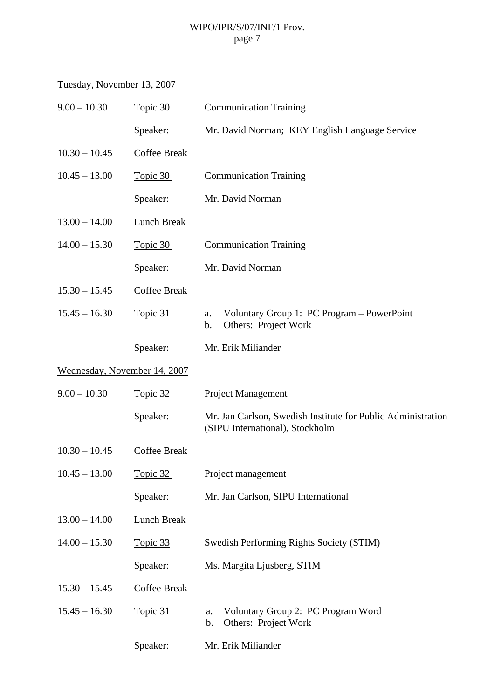# Tuesday, November 13, 2007

| $9.00 - 10.30$               | Topic 30            | <b>Communication Training</b>                                                                   |
|------------------------------|---------------------|-------------------------------------------------------------------------------------------------|
|                              | Speaker:            | Mr. David Norman; KEY English Language Service                                                  |
| $10.30 - 10.45$              | <b>Coffee Break</b> |                                                                                                 |
| $10.45 - 13.00$              | Topic 30            | <b>Communication Training</b>                                                                   |
|                              | Speaker:            | Mr. David Norman                                                                                |
| $13.00 - 14.00$              | Lunch Break         |                                                                                                 |
| $14.00 - 15.30$              | Topic 30            | <b>Communication Training</b>                                                                   |
|                              | Speaker:            | Mr. David Norman                                                                                |
| $15.30 - 15.45$              | <b>Coffee Break</b> |                                                                                                 |
| $15.45 - 16.30$              | Topic 31            | Voluntary Group 1: PC Program – PowerPoint<br>a.<br>Others: Project Work<br>b.                  |
|                              | Speaker:            | Mr. Erik Miliander                                                                              |
| Wednesday, November 14, 2007 |                     |                                                                                                 |
| $9.00 - 10.30$               | Topic 32            | Project Management                                                                              |
|                              | Speaker:            | Mr. Jan Carlson, Swedish Institute for Public Administration<br>(SIPU International), Stockholm |
| $10.30 - 10.45$              | <b>Coffee Break</b> |                                                                                                 |
| $10.45 - 13.00$              | Topic 32            | Project management                                                                              |
|                              | Speaker:            | Mr. Jan Carlson, SIPU International                                                             |
| $13.00 - 14.00$              | <b>Lunch Break</b>  |                                                                                                 |
| $14.00 - 15.30$              | Topic 33            | Swedish Performing Rights Society (STIM)                                                        |
|                              | Speaker:            | Ms. Margita Ljusberg, STIM                                                                      |
| $15.30 - 15.45$              | <b>Coffee Break</b> |                                                                                                 |
| $15.45 - 16.30$              | Topic 31            | Voluntary Group 2: PC Program Word<br>a.<br>Others: Project Work<br>b.                          |
|                              | Speaker:            | Mr. Erik Miliander                                                                              |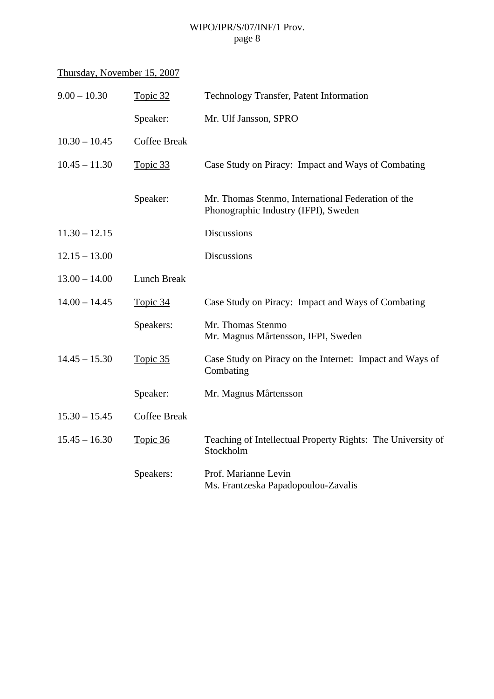# Thursday, November 15, 2007

| $9.00 - 10.30$  | Topic 32            | Technology Transfer, Patent Information                                                    |
|-----------------|---------------------|--------------------------------------------------------------------------------------------|
|                 | Speaker:            | Mr. Ulf Jansson, SPRO                                                                      |
| $10.30 - 10.45$ | <b>Coffee Break</b> |                                                                                            |
| $10.45 - 11.30$ | Topic 33            | Case Study on Piracy: Impact and Ways of Combating                                         |
|                 | Speaker:            | Mr. Thomas Stenmo, International Federation of the<br>Phonographic Industry (IFPI), Sweden |
| $11.30 - 12.15$ |                     | <b>Discussions</b>                                                                         |
| $12.15 - 13.00$ |                     | <b>Discussions</b>                                                                         |
| $13.00 - 14.00$ | <b>Lunch Break</b>  |                                                                                            |
| $14.00 - 14.45$ | Topic 34            | Case Study on Piracy: Impact and Ways of Combating                                         |
|                 | Speakers:           | Mr. Thomas Stenmo<br>Mr. Magnus Mårtensson, IFPI, Sweden                                   |
| $14.45 - 15.30$ | Topic 35            | Case Study on Piracy on the Internet: Impact and Ways of<br>Combating                      |
|                 | Speaker:            | Mr. Magnus Mårtensson                                                                      |
| $15.30 - 15.45$ | <b>Coffee Break</b> |                                                                                            |
| $15.45 - 16.30$ | Topic 36            | Teaching of Intellectual Property Rights: The University of<br>Stockholm                   |
|                 | Speakers:           | Prof. Marianne Levin<br>Ms. Frantzeska Papadopoulou-Zavalis                                |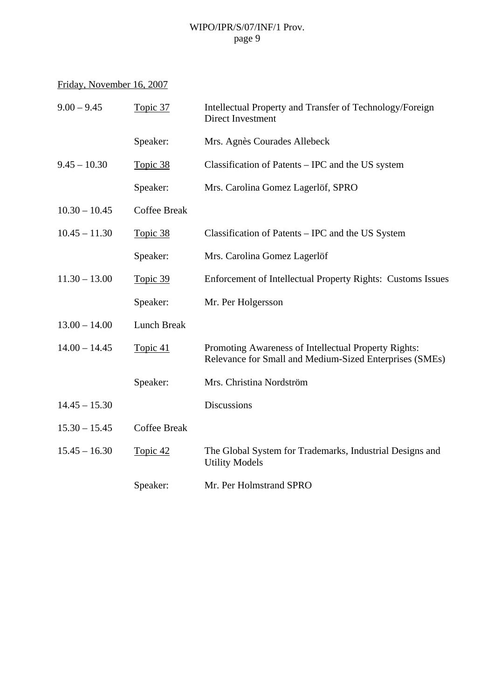# Friday, November 16, 2007

| $9.00 - 9.45$   | Topic 37            | Intellectual Property and Transfer of Technology/Foreign<br>Direct Investment                                   |
|-----------------|---------------------|-----------------------------------------------------------------------------------------------------------------|
|                 | Speaker:            | Mrs. Agnès Courades Allebeck                                                                                    |
| $9.45 - 10.30$  | Topic 38            | Classification of Patents – IPC and the US system                                                               |
|                 | Speaker:            | Mrs. Carolina Gomez Lagerlöf, SPRO                                                                              |
| $10.30 - 10.45$ | <b>Coffee Break</b> |                                                                                                                 |
| $10.45 - 11.30$ | Topic 38            | Classification of Patents – IPC and the US System                                                               |
|                 | Speaker:            | Mrs. Carolina Gomez Lagerlöf                                                                                    |
| $11.30 - 13.00$ | Topic 39            | Enforcement of Intellectual Property Rights: Customs Issues                                                     |
|                 | Speaker:            | Mr. Per Holgersson                                                                                              |
| $13.00 - 14.00$ | <b>Lunch Break</b>  |                                                                                                                 |
| $14.00 - 14.45$ | Topic 41            | Promoting Awareness of Intellectual Property Rights:<br>Relevance for Small and Medium-Sized Enterprises (SMEs) |
|                 | Speaker:            | Mrs. Christina Nordström                                                                                        |
| $14.45 - 15.30$ |                     | <b>Discussions</b>                                                                                              |
| $15.30 - 15.45$ | <b>Coffee Break</b> |                                                                                                                 |
| $15.45 - 16.30$ | Topic 42            | The Global System for Trademarks, Industrial Designs and<br><b>Utility Models</b>                               |
|                 | Speaker:            | Mr. Per Holmstrand SPRO                                                                                         |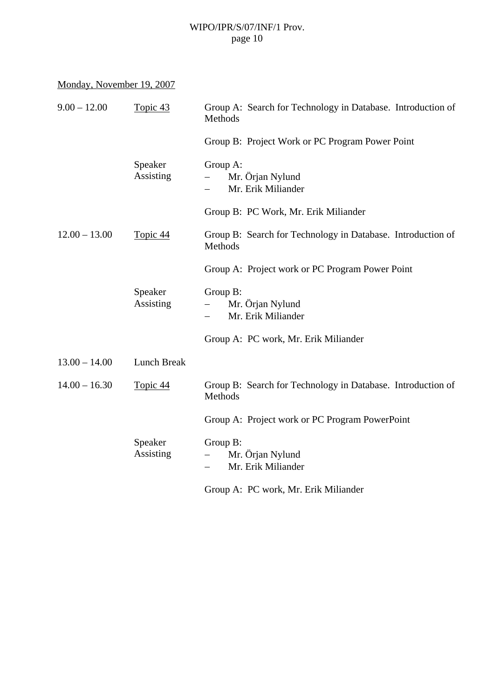| Monday, November 19, 2007 |  |
|---------------------------|--|
|                           |  |

| $9.00 - 12.00$  | Topic 43             | Group A: Search for Technology in Database. Introduction of<br>Methods  |
|-----------------|----------------------|-------------------------------------------------------------------------|
|                 |                      | Group B: Project Work or PC Program Power Point                         |
|                 | Speaker<br>Assisting | Group A:<br>Mr. Örjan Nylund<br>Mr. Erik Miliander                      |
|                 |                      | Group B: PC Work, Mr. Erik Miliander                                    |
| $12.00 - 13.00$ | Topic 44             | Group B: Search for Technology in Database. Introduction of<br>Methods  |
|                 |                      | Group A: Project work or PC Program Power Point                         |
|                 | Speaker<br>Assisting | Group B:<br>Mr. Örjan Nylund<br>Mr. Erik Miliander                      |
|                 |                      | Group A: PC work, Mr. Erik Miliander                                    |
| $13.00 - 14.00$ | Lunch Break          |                                                                         |
| $14.00 - 16.30$ | Topic 44             | Group B: Search for Technology in Database. Introduction of<br>Methods  |
|                 |                      | Group A: Project work or PC Program PowerPoint                          |
|                 | Speaker<br>Assisting | Group B:<br>Mr. Örjan Nylund<br>Mr. Erik Miliander<br>$\qquad \qquad -$ |
|                 |                      | Group A: PC work, Mr. Erik Miliander                                    |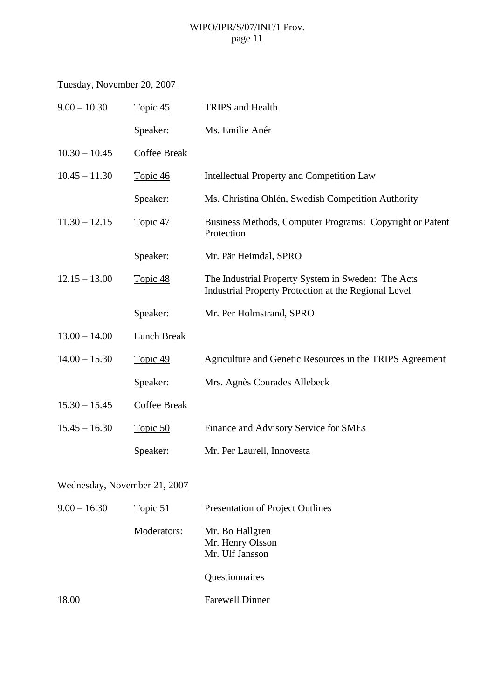# Tuesday, November 20, 2007

| $9.00 - 10.30$               | Topic 45            | TRIPS and Health                                                                                           |
|------------------------------|---------------------|------------------------------------------------------------------------------------------------------------|
|                              | Speaker:            | Ms. Emilie Anér                                                                                            |
| $10.30 - 10.45$              | <b>Coffee Break</b> |                                                                                                            |
| $10.45 - 11.30$              | Topic 46            | <b>Intellectual Property and Competition Law</b>                                                           |
|                              | Speaker:            | Ms. Christina Ohlén, Swedish Competition Authority                                                         |
| $11.30 - 12.15$              | Topic 47            | Business Methods, Computer Programs: Copyright or Patent<br>Protection                                     |
|                              | Speaker:            | Mr. Pär Heimdal, SPRO                                                                                      |
| $12.15 - 13.00$              | Topic 48            | The Industrial Property System in Sweden: The Acts<br>Industrial Property Protection at the Regional Level |
|                              | Speaker:            | Mr. Per Holmstrand, SPRO                                                                                   |
| $13.00 - 14.00$              | <b>Lunch Break</b>  |                                                                                                            |
| $14.00 - 15.30$              | Topic 49            | Agriculture and Genetic Resources in the TRIPS Agreement                                                   |
|                              | Speaker:            | Mrs. Agnès Courades Allebeck                                                                               |
| $15.30 - 15.45$              | <b>Coffee Break</b> |                                                                                                            |
| $15.45 - 16.30$              | Topic 50            | Finance and Advisory Service for SMEs                                                                      |
|                              | Speaker:            | Mr. Per Laurell, Innovesta                                                                                 |
| Wednesday, November 21, 2007 |                     |                                                                                                            |
| $9.00 - 16.30$               | Topic 51            | Presentation of Project Outlines                                                                           |
|                              |                     |                                                                                                            |

| Mr. Bo Hallgren  |
|------------------|
| Mr. Henry Olsson |
| Mr. Ulf Jansson  |
|                  |

Questionnaires

18.00 Farewell Dinner